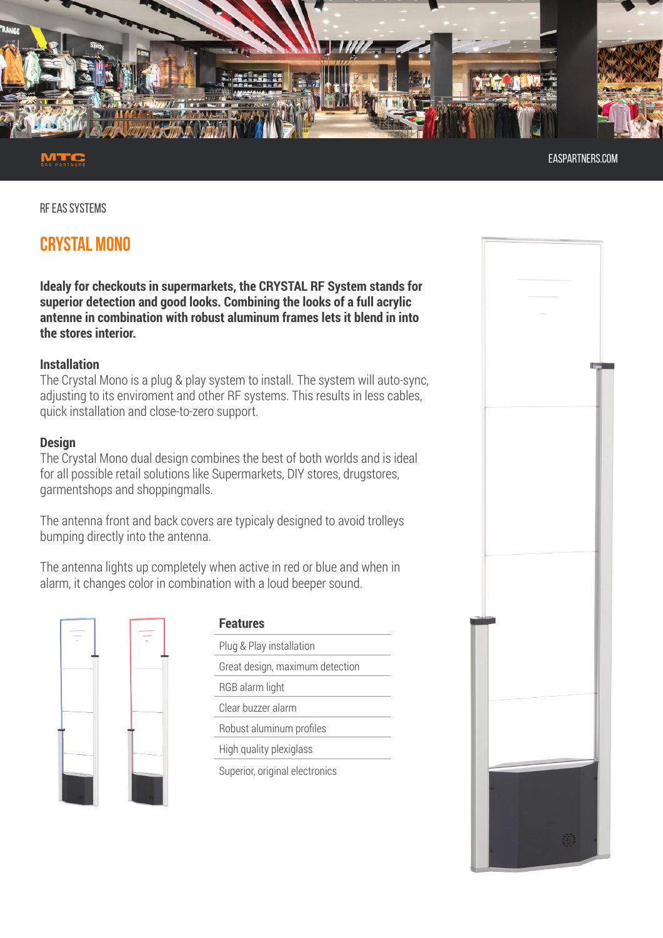

easpartners.com

RF EAS SYSTEMS

# **CRYSTAL MONO**

**Idealy for checkouts in supermarkets, the CRYSTAL RF System stands for superior detection and good looks. Combining the looks of a full acrylic antenne in combination with robust aluminum frames lets it blend in into the stores interior.** 

# **Installation**

The Crystal Mono is a plug & play system to install. The system will auto-sync, adjusting to its enviroment and other RF systems. This results in less cables, quick installation and close-to-zero support.

# **Design**

The Crystal Mono dual design combines the best of both worlds and is ideal for all possible retail solutions like Supermarkets, DIY stores, drugstores, garmentshops and shoppingmalls.

The antenna front and back covers are typicaly designed to avoid trolleys bumping directly into the antenna.

The antenna lights up completely when active in red or blue and when in alarm, it changes color in combination with a loud beeper sound.



| <b>Features</b>                 |  |
|---------------------------------|--|
| Plug & Play installation        |  |
| Great design, maximum detection |  |
| RGB alarm light                 |  |
| Clear buzzer alarm              |  |
| Robust aluminum profiles        |  |
| High quality plexiglass         |  |
| Superior, original electronics  |  |